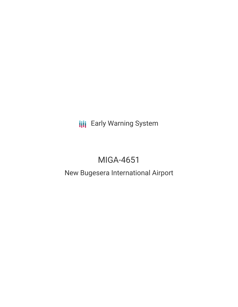**III** Early Warning System

# MIGA-4651

# New Bugesera International Airport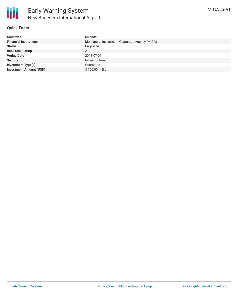

### **Quick Facts**

| <b>Countries</b>               | Rwanda                                          |
|--------------------------------|-------------------------------------------------|
| <b>Financial Institutions</b>  | Multilateral Investment Guarantee Agency (MIGA) |
| <b>Status</b>                  | Proposed                                        |
| <b>Bank Risk Rating</b>        | A                                               |
| <b>Voting Date</b>             | 2018-07-01                                      |
| <b>Sectors</b>                 | Infrastructure                                  |
| <b>Investment Type(s)</b>      | Guarantee                                       |
| <b>Investment Amount (USD)</b> | \$150,00 million                                |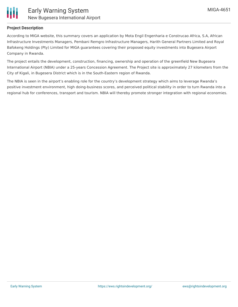

## **Project Description**

According to MIGA website, this summary covers an application by Mota Engil Engenharia e Construcao Africa, S.A, African Infrastructure Investments Managers, Pembani Remgro Infrastructure Managers, Harith General Partners Limited and Royal Bafokeng Holdings (Pty) Limited for MIGA guarantees covering their proposed equity investments into Bugesera Airport Company in Rwanda.

The project entails the development, construction, financing, ownership and operation of the greenfield New Bugesera International Airport (NBIA) under a 25-years Concession Agreement. The Project site is approximately 27 kilometers from the City of Kigali, in Bugesera District which is in the South-Eastern region of Rwanda.

The NBIA is seen in the airport's enabling role for the country's development strategy which aims to leverage Rwanda's positive investment environment, high doing-business scores, and perceived political stability in order to turn Rwanda into a regional hub for conferences, transport and tourism. NBIA will thereby promote stronger integration with regional economies.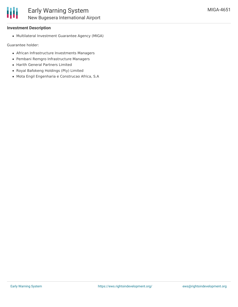#### **Investment Description**

Multilateral Investment Guarantee Agency (MIGA)

Guarantee holder:

- African Infrastructure Investments Managers
- Pembani Remgro Infrastructure Managers
- Harith General Partners Limited
- Royal Bafokeng Holdings (Pty) Limited
- Mota Engil Engenharia e Construcao Africa, S.A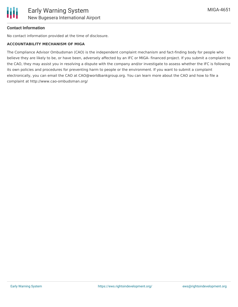### **Contact Information**

No contact information provided at the time of disclosure.

#### **ACCOUNTABILITY MECHANISM OF MIGA**

The Compliance Advisor Ombudsman (CAO) is the independent complaint mechanism and fact-finding body for people who believe they are likely to be, or have been, adversely affected by an IFC or MIGA- financed project. If you submit a complaint to the CAO, they may assist you in resolving a dispute with the company and/or investigate to assess whether the IFC is following its own policies and procedures for preventing harm to people or the environment. If you want to submit a complaint electronically, you can email the CAO at CAO@worldbankgroup.org. You can learn more about the CAO and how to file a complaint at http://www.cao-ombudsman.org/